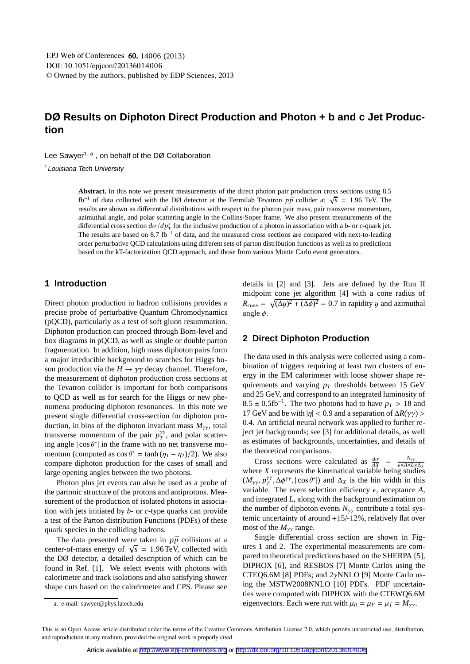# **DØ Results on Diphoton Direct Production and Photon + b and c Jet Production**

Lee Sawyer<sup>1, a</sup>, on behalf of the DØ Collaboration

<sup>1</sup>Louisiana Tech University

**Abstract.** In this note we present measurements of the direct photon pair production cross sections using 8.5  $f_{\rm b}$ <sup>-1</sup> of data collected with the DØ detector at the Fermilab Tevatron  $p\bar{p}$  collider at  $\sqrt{s}$  = 1.96 TeV. The results are shown as differential distributions with respect to the photon pair mass, pair transverse momentum, azimuthal angle, and polar scattering angle in the Collins-Soper frame. We also present measurements of the differential cross section  $d\sigma/dp_T^{\gamma}$  for the inclusive production of a photon in association with a *b*- or *c*-quark jet. The results are based on 8.7 fb<sup>-1</sup> of data, and the measured cross sections are compared with next-to-leading order perturbative QCD calculations using different sets of parton distribution functions as well as to predictions based on the kT-factorization QCD approach, and those from various Monte Carlo event generators.

## **1 Introduction**

Direct photon production in hadron collisions provides a precise probe of perturbative Quantum Chromodynamics (pQCD), particularly as a test of soft gluon resummation. Diphoton production can proceed through Born-level and box diagrams in pQCD, as well as single or double parton fragmentation. In addition, high mass diphoton pairs form a major irreducible background to searches for Higgs boson production via the  $H \to \gamma\gamma$  decay channel. Therefore, the measurement of diphoton production cross sections at the Tevatron collider is important for both comparisons to QCD as well as for search for the Higgs or new phenomena producing diphoton resonances. In this note we present single differential cross-section for diphoton production, in bins of the diphoton invariant mass  $M_{\gamma\gamma}$ , total transverse momentum of the pair  $p_T^{\gamma\gamma}$  $T$ <sup>*T*</sup>, and polar scattering angle  $|\cos \theta^*|$  in the frame with no net transverse momentum (computed as  $\cos \theta^* = \tanh (\eta_1 - \eta_2)/2$ ). We also compare diphoton production for the cases of small and large opening angles between the two photons.

Photon plus jet events can also be used as a probe of the partonic structure of the protons and antiprotons. Measurement of the production of isolated photons in association with jets initiated by *b*- or *c*-type quarks can provide a test of the Parton distribution Functions (PDFs) of these quark species in the colliding hadrons.

The data presented were taken in  $p\bar{p}$  collisions at a center-of-mass energy of  $\sqrt{s}$  = 1.96 TeV, collected with the DØ detector, a detailed description of which can be found in Ref. [1]. We select events with photons with calorimeter and track isolations and also satisfying shower shape cuts based on the calorirmeter and CPS. Please see details in [2] and [3]. Jets are defined by the Run II midpoint cone jet algorithm [4] with a cone radius of  $R_{\text{cone}} = \sqrt{(\Delta y)^2 + (\Delta \phi)^2} = 0.7$  in rapidity y and azimuthal angle  $\phi$ .

#### **2 Direct Diphoton Production**

The data used in this analysis were collected using a combination of triggers requiring at least two clusters of energy in the EM calorimeter with loose shower shape requirements and varying  $p_T$  thresholds between 15 GeV and 25 GeV, and correspond to an integrated luminosity of  $8.5 \pm 0.5$ fb<sup>-1</sup>. The two photons had to have  $p_T > 18$  and 17 GeV and be with  $|\eta|$  < 0.9 and a separation of  $\Delta R(\gamma\gamma)$  > 0.4. An artificial neural network was applied to further reject jet backgrounds; see [3] for additional details, as well as estimates of backgrounds, uncertainties, and details of the theoretical comparisons.

Cross sections were calculated as  $\frac{d\sigma}{dX} = \frac{N_{\gamma\gamma}}{\epsilon \times A \times L}$ where *X* represents the kinematical variable being studies  $(M_{\gamma\gamma}, p_T^{\gamma\gamma})$  $T^{\gamma\gamma}$ ,  $\Delta \phi^{\gamma\gamma}$ ,  $|\cos \theta^*|$ ) and  $\Delta_X$  is the bin width in this variable. The event selection efficiency  $\epsilon$ , acceptance  $A$ , and integrated *L*, along with the background estimation on the number of diphoton events  $N_{\gamma\gamma}$  contribute a total systemic uncertainty of around +15/-12%, relatively flat over most of the  $M_{\gamma\gamma}$  range.

Single differential cross section are shown in Figures 1 and 2. The experimental measurements are compared to theoretical predictions based on the SHERPA [5], DIPHOX [6], and RESBOS [7] Monte Carlos using the CTEQ6.6M [8] PDFs; and 2γNNLO [9] Monte Carlo using the MSTW2008NNLO [10] PDFs. PDF uncertainties were computed with DIPHOX with the CTEWQ6.6M eigenvectors. Each were run with  $\mu_R = \mu_F = \mu_f = M_{\gamma\gamma}$ .

a. e-mail: sawyer@phys.latech.edu

This is an Open Access article distributed under the terms of the Creative Commons Attribution License 2.0, which permits unrestricted use, distribution, and reproduction in any medium, provided the original work is properly cited.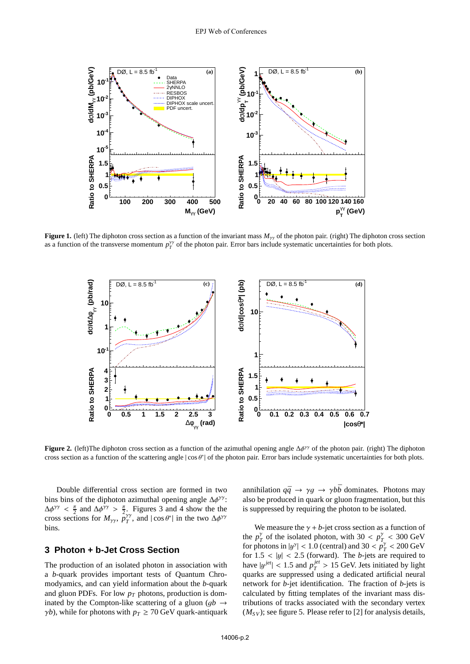

**Figure 1.** (left) The diphoton cross section as a function of the invariant mass  $M_{\gamma\gamma}$  of the photon pair. (right) The diphoton cross section as a function of the transverse momentum  $p_T^{\gamma\gamma}$  of the photon pair. Error bars include systematic uncertainties for both plots.



**Figure 2.** (left)The diphoton cross section as a function of the azimuthal opening angle  $\Delta\phi^{\gamma\gamma}$  of the photon pair. (right) The diphoton cross section as a function of the scattering angle  $|\cos \theta^*|$  of the photon pair. Error bars include systematic uncertainties for both plots.

Double differential cross section are formed in two bins bins of the diphoton azimuthal opening angle  $\Delta \phi^{\gamma \gamma}$ :  $\Delta \phi^{\gamma \gamma} < \frac{\pi}{2}$  and  $\Delta \phi^{\gamma \gamma} > \frac{\pi}{2}$ . Figures 3 and 4 show the the cross sections for  $M_{\gamma\gamma}$ ,  $p_T^{\gamma\gamma}$  $T^{\gamma\gamma}$ , and  $|\cos \theta^*|$  in the two Δ $\phi^{\gamma\gamma}$ bins.

## **3 Photon + b-Jet Cross Section**

The production of an isolated photon in association with a *b*-quark provides important tests of Quantum Chromodyamics, and can yield information about the *b*-quark and gluon PDFs. For low *p<sup>T</sup>* photons, production is dominated by the Compton-like scattering of a gluon ( $qb \rightarrow$  $\gamma b$ ), while for photons with  $p_T \ge 70$  GeV quark-antiquark annihilation  $q\bar{q} \rightarrow \gamma g \rightarrow \gamma b\bar{b}$  dominates. Photons may also be produced in quark or gluon fragmentation, but this is suppressed by requiring the photon to be isolated.

We measure the  $\gamma + b$ -jet cross section as a function of the  $p_7^{\gamma}$  $T_T^{\gamma}$  of the isolated photon, with 30 <  $p_T^{\gamma}$  $T_{T_{\rm ex}}$  < 300 GeV for photons in  $|y^{\gamma}| < 1.0$  (central) and 30 <  $p_{\gamma}^{\gamma}$  $T_T^{\gamma}$  < 200 GeV for  $1.5 < |y| < 2.5$  (forward). The *b*-jets are required to have  $|y^{jet}| < 1.5$  and  $p_T^{jet}$  $T_T^{jet}$  > 15 GeV. Jets initiated by light quarks are suppressed using a dedicated artificial neural network for *b*-jet identification. The fraction of *b*-jets is calculated by fitting templates of the invariant mass distributions of tracks associated with the secondary vertex  $(M_{SV})$ ; see figure 5. Please refer to [2] for analysis details,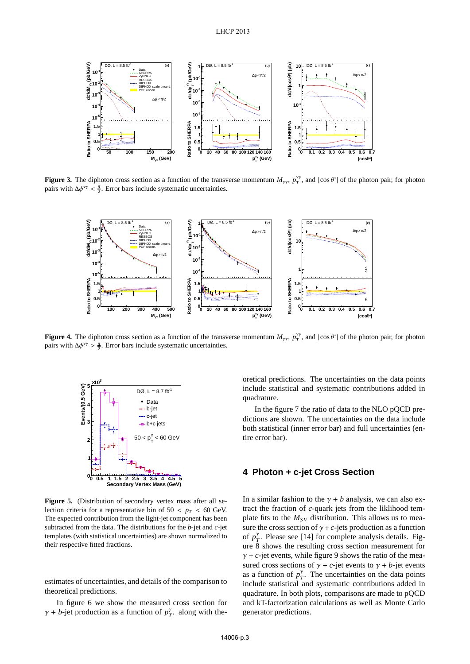

**Figure 3.** The diphoton cross section as a function of the transverse momentum  $M_{\gamma\gamma}$ ,  $p_T^{\gamma\gamma}$ , and  $|\cos\theta^*|$  of the photon pair, for photon pairs with  $\Delta \phi^{\gamma\gamma} < \frac{\pi}{2}$ . Error bars include systematic uncertainties.



**Figure 4.** The diphoton cross section as a function of the transverse momentum  $M_{\gamma\gamma}$ ,  $p_T^{\gamma\gamma}$ , and  $|\cos\theta^*|$  of the photon pair, for photon pairs with  $\Delta \phi^{\gamma\gamma} > \frac{\pi}{2}$ . Error bars include systematic uncertainties.



**Figure 5.** (Distribution of secondary vertex mass after all selection criteria for a representative bin of  $50 < p_T < 60$  GeV. The expected contribution from the light-jet component has been subtracted from the data. The distributions for the *b*-jet and *c*-jet templates (with statistical uncertainties) are shown normalized to their respective fitted fractions.

estimates of uncertainties, and details of the comparison to theoretical predictions.

In figure 6 we show the measured cross section for  $\gamma + b$ -jet production as a function of  $p_{\gamma}^{\gamma}$  $\frac{\gamma}{T}$ . along with theoretical predictions. The uncertainties on the data points include statistical and systematic contributions added in quadrature.

In the figure 7 the ratio of data to the NLO pQCD predictions are shown. The uncertainties on the data include both statistical (inner error bar) and full uncertainties (entire error bar).

### **4 Photon + c-jet Cross Section**

In a similar fashion to the  $\gamma + b$  analysis, we can also extract the fraction of *c*-quark jets from the liklihood template fits to the  $M_{SV}$  distribution. This allows us to measure the cross section of  $\gamma + c$ -jets production as a function of  $p_7^{\gamma}$  $T$ <sup> $\gamma$ </sup>. Please see [14] for complete analysis details. Figure 8 shows the resulting cross section measurement for  $\gamma$  + *c*-jet events, while figure 9 shows the ratio of the measured cross sections of  $\gamma$  + *c*-jet events to  $\gamma$  + *b*-jet events as a function of  $p_7^{\gamma}$  $T$ <sup> $\gamma$ </sup>. The uncertainties on the data points include statistical and systematic contributions added in quadrature. In both plots, comparisons are made to pQCD and kT-factorization calculations as well as Monte Carlo generator predictions.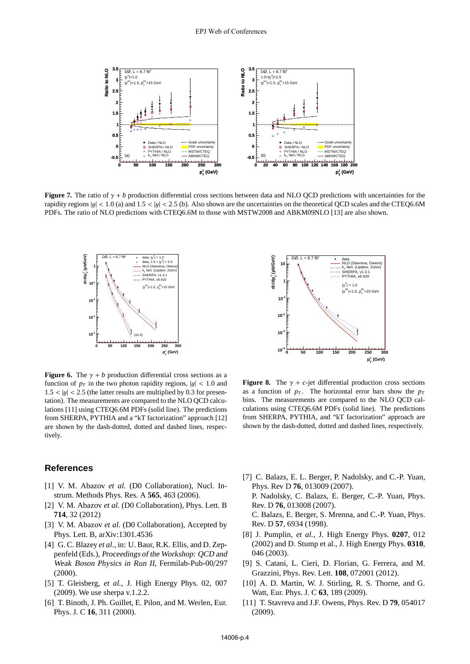

**Figure 7.** The ratio of  $\gamma + b$  production differential cross sections between data and NLO OCD predictions with uncertainties for the rapidity regions  $|y| < 1.0$  (a) and  $1.5 < |y| < 2.5$  (b). Also shown are the uncertainties on the theoretical OCD scales and the CTEQ6.6M PDFs. The ratio of NLO predictions with CTEQ6.6M to those with MSTW2008 and ABKM09NLO [13] are also shown.



**Figure 6.** The  $\gamma + b$  production differential cross sections as a function of  $p_T$  in the two photon rapidity regions,  $|y| < 1.0$  and  $1.5 < |y| < 2.5$  (the latter results are multiplied by 0.3 for presentation). The measurements are compared to the NLO QCD calculations [11] using CTEQ6.6M PDFs (solid line). The predictions from SHERPA, PYTHIA and a "kT factorization" approach [12] are shown by the dash-dotted, dotted and dashed lines, respectively.

#### **References**

- [1] V. M. Abazov *et al.* (D0 Collaboration), Nucl. Instrum. Methods Phys. Res. A **565**, 463 (2006).
- [2] V. M. Abazov *et al.* (D0 Collaboration), Phys. Lett. B **714**, 32 (2012)
- [3] V. M. Abazov *et al.* (D0 Collaboration), Accepted by Phys. Lett. B, arXiv:1301.4536
- [4] G. C. Blazey *et al.*, in: U. Baur, R.K. Ellis, and D. Zeppenfeld (Eds.), Proceedings of the Workshop: QCD and Weak Boson Physics in Run II, Fermilab-Pub-00/297 (2000).
- [5] T. Gleisberg, *et al.*, J. High Energy Phys. 02, 007 (2009). We use sherpa v.1.2.2.
- [6] T. Binoth, J. Ph. Guillet, E. Pilon, and M. Werlen, Eur. Phys. J. C **16**, 311 (2000).



**Figure 8.** The  $\gamma$  + *c*-jet differential production cross sections as a function of  $p_T$ . The horizontal error bars show the  $p_T$ bins. The measurements are compared to the NLO QCD calculations using CTEQ6.6M PDFs (solid line). The predictions from SHERPA, PYTHIA, and "kT factorization" approach are shown by the dash-dotted, dotted and dashed lines, respectively.

- [7] C. Balazs, E. L. Berger, P. Nadolsky, and C.-P. Yuan, Phys. Rev D **76**, 013009 (2007). P. Nadolsky, C. Balazs, E. Berger, C.-P. Yuan, Phys. Rev. D **76**, 013008 (2007). C. Balazs, E. Berger, S. Mrenna, and C.-P. Yuan, Phys. Rev. D **57**, 6934 (1998).
- [8] J. Pumplin, *et al.*, J. High Energy Phys. **0207**, 012 (2002) and D. Stump et al., J. High Energy Phys. **0310**, 046 (2003).
- [9] S. Catani, L. Cieri, D. Florian, G. Ferrera, and M. Grazzini, Phys. Rev. Lett. **108**, 072001 (2012).
- [10] A. D. Martin, W. J. Stirling, R. S. Thorne, and G. Watt, Eur. Phys. J. C **63**, 189 (2009).
- [11] T. Stavreva and J.F. Owens, Phys. Rev. D **79**, 054017 (2009).